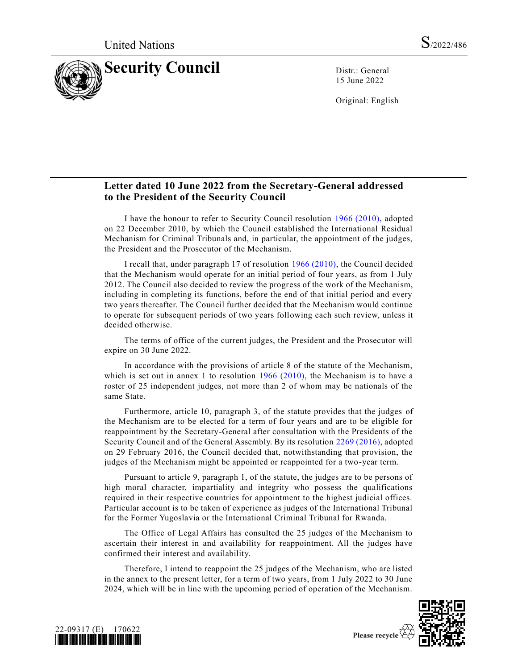

15 June 2022

Original: English

## **Letter dated 10 June 2022 from the Secretary-General addressed to the President of the Security Council**

I have the honour to refer to Security Council resolution [1966 \(2010\),](https://undocs.org/en/S/RES/1966(2010)) adopted on 22 December 2010, by which the Council established the International Residual Mechanism for Criminal Tribunals and, in particular, the appointment of the judges, the President and the Prosecutor of the Mechanism.

I recall that, under paragraph 17 of resolution [1966 \(2010\),](https://undocs.org/en/S/RES/1966(2010)) the Council decided that the Mechanism would operate for an initial period of four years, as from 1 July 2012. The Council also decided to review the progress of the work of the Mechanism, including in completing its functions, before the end of that initial period and every two years thereafter. The Council further decided that the Mechanism would continue to operate for subsequent periods of two years following each such review, unless it decided otherwise.

The terms of office of the current judges, the President and the Prosecutor will expire on 30 June 2022.

In accordance with the provisions of article 8 of the statute of the Mechanism, which is set out in annex 1 to resolution [1966 \(2010\),](https://undocs.org/en/S/RES/1966(2010)) the Mechanism is to have a roster of 25 independent judges, not more than 2 of whom may be nationals of the same State.

Furthermore, article 10, paragraph 3, of the statute provides that the judges of the Mechanism are to be elected for a term of four years and are to be eligible for reappointment by the Secretary-General after consultation with the Presidents of the Security Council and of the General Assembly. By its resolution [2269 \(2016\),](https://undocs.org/en/S/RES/2269(2016)) adopted on 29 February 2016, the Council decided that, notwithstanding that provision, the judges of the Mechanism might be appointed or reappointed for a two-year term.

Pursuant to article 9, paragraph 1, of the statute, the judges are to be persons of high moral character, impartiality and integrity who possess the qualifications required in their respective countries for appointment to the highest judicial offices. Particular account is to be taken of experience as judges of the International Tribunal for the Former Yugoslavia or the International Criminal Tribunal for Rwanda.

The Office of Legal Affairs has consulted the 25 judges of the Mechanism to ascertain their interest in and availability for reappointment. All the judges have confirmed their interest and availability.

Therefore, I intend to reappoint the 25 judges of the Mechanism, who are listed in the annex to the present letter, for a term of two years, from 1 July 2022 to 30 June 2024, which will be in line with the upcoming period of operation of the Mechanism.



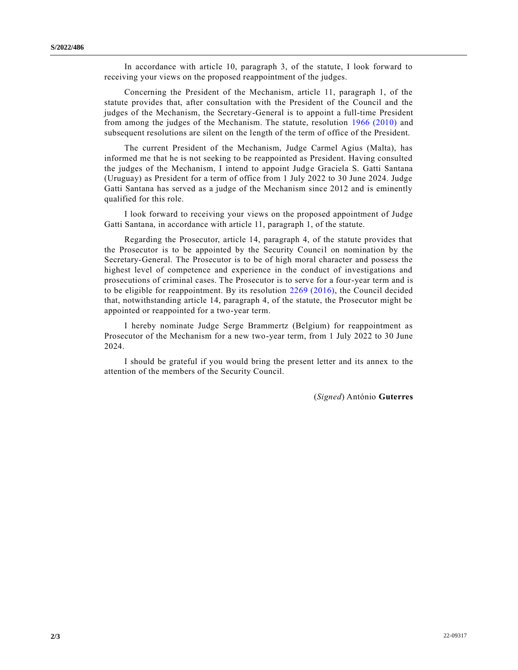In accordance with article 10, paragraph 3, of the statute, I look forward to receiving your views on the proposed reappointment of the judges.

Concerning the President of the Mechanism, article 11, paragraph 1, of the statute provides that, after consultation with the President of the Council and the judges of the Mechanism, the Secretary-General is to appoint a full-time President from among the judges of the Mechanism. The statute, resolution [1966 \(2010\)](https://undocs.org/en/S/RES/1966(2010)) and subsequent resolutions are silent on the length of the term of office of the President.

The current President of the Mechanism, Judge Carmel Agius (Malta), has informed me that he is not seeking to be reappointed as President. Having consulted the judges of the Mechanism, I intend to appoint Judge Graciela S. Gatti Santana (Uruguay) as President for a term of office from 1 July 2022 to 30 June 2024. Judge Gatti Santana has served as a judge of the Mechanism since 2012 and is eminently qualified for this role.

I look forward to receiving your views on the proposed appointment of Judge Gatti Santana, in accordance with article 11, paragraph 1, of the statute.

Regarding the Prosecutor, article 14, paragraph 4, of the statute provides that the Prosecutor is to be appointed by the Security Council on nomination by the Secretary-General. The Prosecutor is to be of high moral character and possess the highest level of competence and experience in the conduct of investigations and prosecutions of criminal cases. The Prosecutor is to serve for a four-year term and is to be eligible for reappointment. By its resolution [2269 \(2016\),](https://undocs.org/en/S/RES/2269(2016)) the Council decided that, notwithstanding article 14, paragraph 4, of the statute, the Prosecutor might be appointed or reappointed for a two-year term.

I hereby nominate Judge Serge Brammertz (Belgium) for reappointment as Prosecutor of the Mechanism for a new two-year term, from 1 July 2022 to 30 June 2024.

I should be grateful if you would bring the present letter and its annex to the attention of the members of the Security Council.

(*Signed*) António **Guterres**